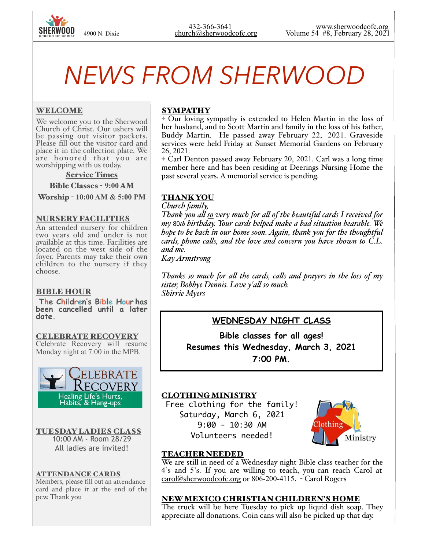# *NEWS FROM SHERWOOD*

### WELCOME

We welcome you to the Sherwood Church of Christ. Our ushers will be passing out visitor packets. Please fill out the visitor card and place it in the collection plate. We are honored that you are worshipping with us today.

#### Service Times

Bible Classes - **9:00** AM

Worship - **10:00 AM & 5:00 PM** 

#### NURSERY FACILITIES

An attended nursery for children two years old and under is not available at this time. Facilities are located on the west side of the foyer. Parents may take their own children to the nursery if they choose.

#### BIBLE HOUR

 **The Children's Bible Hour has been cancelled until a later date.** 

CELEBRATE RECOVERY Celebrate Recovery will resume Monday night at 7:00 in the MPB.



TUESDAY LADIES CLASS 10:00 AM - Room 28/29 All ladies are invited!

#### ATTENDANCE CARDS

Members, please fill out an attendance card and place it at the end of the pew. Thank you

# **SYMPATHY**

✦ Our loving sympathy is extended to Helen Martin in the loss of her husband, and to Scott Martin and family in the loss of his father, Buddy Martin. He passed away February 22, 2021. Graveside services were held Friday at Sunset Memorial Gardens on February 26, 2021.

✦ Carl Denton passed away February 20, 2021. Carl was a long time member here and has been residing at Deerings Nursing Home the past several years. A memorial service is pending.

### THANK YOU

*Church family,*

*Thank you al so very much for al of the beautiful cards I received for my* 80*th birthday. Your cards helped make a bad situation bearable. We hope to be back in our home soon. Again, thank you for the thoughtful cards, phone cals, and the love and concern you have shown to C.L. and me.*

*Kay Armstrong*

*Thanks so much for al the cards, cals and prayers in the loss of my sister, Bobbye Dennis. Love y'al so much. Shirrie Myers*

# **WEDNESDAY NIGHT CLASS**

**Bible classes for all ages! Resumes this Wednesday, March 3, 2021 7:00 PM.** 

# CLOTHING MINISTRY

Free clothing for the family! Saturday, March 6, 2021 9:00 - 10:30 AM Volunteers needed!



# TEACHER NEEDED

We are still in need of a Wednesday night Bible class teacher for the 4's and 5's. If you are willing to teach, you can reach Carol at [carol@sherwoodcofc.org](mailto:carol@sherwoodcofc.org) or 806-200-4115. - Carol Rogers

#### NEW MEXICO CHRISTIAN CHILDREN'S HOME

The truck will be here Tuesday to pick up liquid dish soap. They appreciate all donations. Coin cans will also be picked up that day.